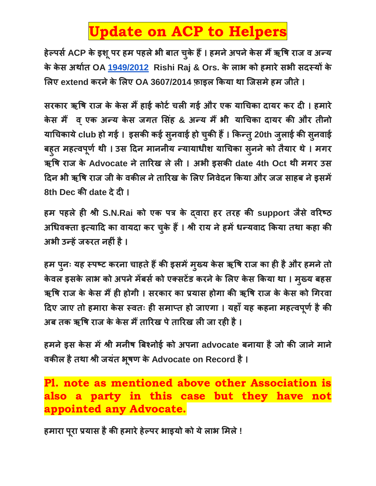## **Update on ACP to Helpers**

**हेल्पर्सACP के इशूपर हम पहलेभी बात चक ु े हैं। हमनेअपनेके र् मैंऋषि राज व अन्य के के र् अर्ासत OA [1949/2012](tel:19492012) Rishi Raj & Ors. के लाभ को हमारेर्भी र्दस्यों के ललए extend करनेकेललए OA 3607/2014 फ़ाइल ककया र्ा जजर्मेहम जीते।**

**र्रकार ऋषि राज के के र् मैंहाई कोर्स चली गई और एक याचचका दायर कर दी । हमारे के र् मैं व ्एक अन्य के र् जगत लर्िंह & अन्य मैंभी याचचका दायर की और तीनो** याचिकाये club हो गई । इसकी कई सुनवाई हो चुकी हैं । किन्तु 20th जुलाई की सुनवाई **बह ु त महत्वपर् ू सर्ी । उर् ददन माननीय न्यायाधीश याचचका र्न ु नेको तैयार र्े। मगर ऋषि राज के Advocate नेताररख लेली । अभी इर्की date 4th Oct र्ी मगर उर् ददन भी ऋषि राज जी के वकील नेताररख के ललए ननवेदन ककया और जज र्ाहब नेइर्में 8th Dec की date देदी ।**

**हम पहलेही श्री S.N.Rai को एक पत्र के द्वारा हर तरह की support जैर्ेवररष्ठ अचधवक्ता इत्यादद का वायदा कर चक ु े हैं। श्री राय नेहमेंधन्यवाद ककया तर्ा कहा की अभी उन्हेंजरुरत नहीिंहै।**

**हम पन ु ः यह स्पष्र् करना चाहतेहैंकी इर्मेंमख् ु य के र् ऋषि राज का ही हैऔर हमनेतो के वल इर्के लाभ को अपनेमेंबर्सको एक्र्र्ेंड करनेके ललए के र् ककया र्ा । मख् ु य बहर् ऋषि राज के के र् मैंही होगी । र्रकार का प्रयार् होगा की ऋषि राज के के र् को चगरवा ददए जाए तो हमारा के र् स्वतः ही र्माप्त हो जाएगा । यहााँयह कहना महत्वपर् ू सहैकी अब तक ऋषि राज के के र् मैंताररख पेताररख ली जा रही है।**

**हमनेइर् के र् मेंश्री मनीि बबश्नोई को अपना advocate बनाया हैजो की जानेमाने वकील हैतर्ा श्री जयिंत भि ू र् के Advocate on Record है।**

**Pl. note as mentioned above other Association is also a party in this case but they have not appointed any Advocate.**

**हमारा परू ा प्रयार् हैकी हमारेहेल्पर भाइयो को येलाभ लमले!**